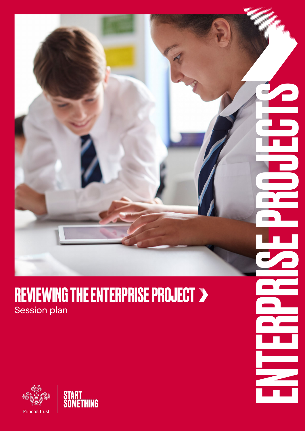### REVIEWING THE ENTERPRISE PROJECT > Session plan

ENTERPRISE PROJECTS



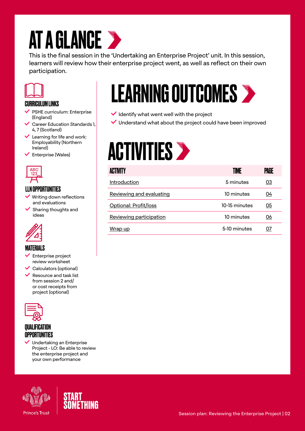## **AT A GLANCE >**

This is the final session in the 'Undertaking an Enterprise Project' unit. In this session, learners will review how their enterprise project went, as well as reflect on their own participation.



#### CURRICULUM LINKS

- $\vee$  PSHE curriculum: Enterprise (England)
- Career Education Standards 1, 4, 7 (Scotland)
- $\checkmark$  Learning for life and work: Employability (Northern Ireland)
- $\checkmark$  Enterprise (Wales)



#### LLN OPPORTUNITIES

- Writing down reflections and evaluations
- $\checkmark$  Sharing thoughts and ideas



#### MATERIALS

- $\checkmark$  Enterprise project review worksheet
- Calculators (optional)
- Resource and task list from session 2 and/ or cost receipts from project (optional)



#### **QUALIFICATION OPPORTUNITIES**







## LEARNING OUTCOMES

- $\vee$  Identify what went well with the project
- Understand what about the project could have been improved

## **ACTIVITIES >**

| <b>ACTIVITY</b>          | TIME          | PAGE      |
|--------------------------|---------------|-----------|
| Introduction             | 5 minutes     | <u>03</u> |
| Reviewing and evaluating | 10 minutes    | 04        |
| Optional: Profit/loss    | 10-15 minutes | 05        |
| Reviewing participation  | 10 minutes    | 06        |
| Wrap up                  | 5-10 minutes  | 07        |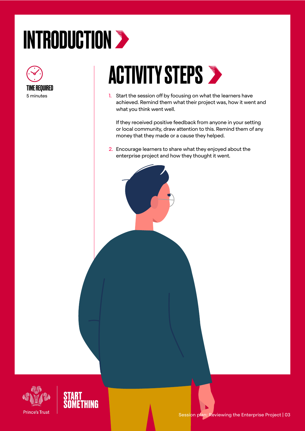# <span id="page-2-0"></span>INTRODUCTION >



### **ACTIVITY STEPS >**

1. Start the session off by focusing on what the learners have achieved. Remind them what their project was, how it went and what you think went well.

If they received positive feedback from anyone in your setting or local community, draw attention to this. Remind them of any money that they made or a cause they helped.

2. Encourage learners to share what they enjoyed about the enterprise project and how they thought it went.



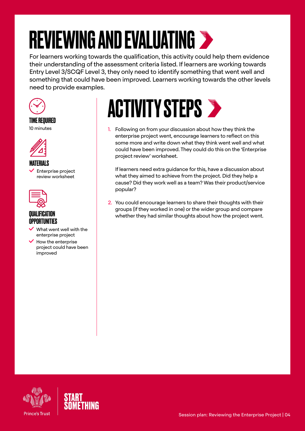# <span id="page-3-0"></span>REVIEWING AND EVALUATING

For learners working towards the qualification, this activity could help them evidence their understanding of the assessment criteria listed. If learners are working towards Entry Level 3/SCQF Level 3, they only need to identify something that went well and something that could have been improved. Learners working towards the other levels need to provide examples.



#### TIME REQUIRED

10 minutes



#### MATERIALS

 $\checkmark$  Enterprise project review worksheet



#### QUALIFICATION **OPPORTUNITIES**

- What went well with the enterprise project
- $\blacktriangleright$  How the enterprise project could have been improved

## **ACTIVITY STEPS >**

1. Following on from your discussion about how they think the enterprise project went, encourage learners to reflect on this some more and write down what they think went well and what could have been improved. They could do this on the 'Enterprise project review' worksheet.

If learners need extra guidance for this, have a discussion about what they aimed to achieve from the project. Did they help a cause? Did they work well as a team? Was their product/service popular?

2. You could encourage learners to share their thoughts with their groups (if they worked in one) or the wider group and compare whether they had similar thoughts about how the project went.



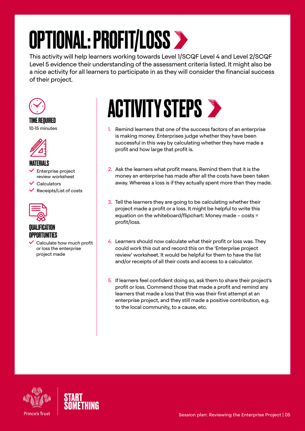# <span id="page-4-0"></span>OPTIONAL: PROFIT/LOSS

This activity will help learners working towards Level 1/SCQF Level 4 and Level 2/SCQF Level 5 evidence their understanding of the assessment criteria listed. It might also be a nice activity for all learners to participate in as they will consider the financial success of their project.



#### TIME REQUIRED

10-15 minutes



#### MATERIALS

- Enterprise project review worksheet
- **Calculators**
- $\vee$  Receipts/List of costs



#### QUALIFICATION **OPPORTUNITIES**

 Calculate how much profit or loss the enterprise project made

### **ACTIVITY STEPS >**

- 1. Remind learners that one of the success factors of an enterprise is making money. Enterprises judge whether they have been successful in this way by calculating whether they have made a profit and how large that profit is.
- 2. Ask the learners what profit means. Remind them that it is the money an enterprise has made after all the costs have been taken away. Whereas a loss is if they actually spent more than they made.
- 3. Tell the learners they are going to be calculating whether their project made a profit or a loss. It might be helpful to write this equation on the whiteboard/flipchart: Money made – costs = profit/loss.
- 4. Learners should now calculate what their profit or loss was. They could work this out and record this on the 'Enterprise project review' worksheet. It would be helpful for them to have the list and/or receipts of all their costs and access to a calculator.
- 5. If learners feel confident doing so, ask them to share their project's profit or loss. Commend those that made a profit and remind any learners that made a loss that this was their first attempt at an enterprise project, and they still made a positive contribution, e.g. to the local community, to a cause, etc.



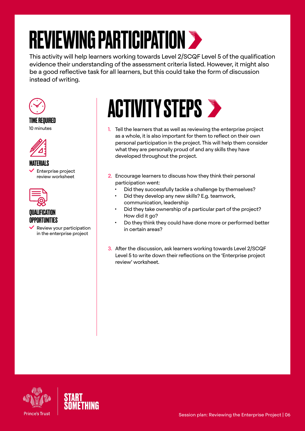# <span id="page-5-0"></span>REVIEWING PARTICIPATION >

This activity will help learners working towards Level 2/SCQF Level 5 of the qualification evidence their understanding of the assessment criteria listed. However, it might also be a good reflective task for all learners, but this could take the form of discussion instead of writing.



#### TIME REQUIRED

10 minutes



#### MATERIALS

 $\checkmark$  Enterprise project review worksheet



#### QUALIFICATION OPPORTUNITIES

 $\vee$  Review your participation in the enterprise project



- 1. Tell the learners that as well as reviewing the enterprise project as a whole, it is also important for them to reflect on their own personal participation in the project. This will help them consider what they are personally proud of and any skills they have developed throughout the project.
- 2. Encourage learners to discuss how they think their personal participation went:
	- Did they successfully tackle a challenge by themselves?
	- Did they develop any new skills? E.g. teamwork, communication, leadership
	- Did they take ownership of a particular part of the project? How did it go?
	- Do they think they could have done more or performed better in certain areas?
- 3. After the discussion, ask learners working towards Level 2/SCQF Level 5 to write down their reflections on the 'Enterprise project review' worksheet.